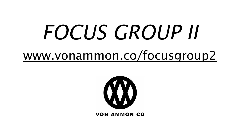## FOCUS GROUP II [www.vonammon.co/focusgroup2](http://www.vonammon.co/focusgroup2)



**VON AMMON CO**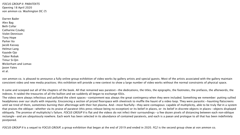FOCUS GROUP II: PARATEXTS Opening 18 April 2020 von ammon co. Washington DC (?)

Darren Bader Alex Bag Beth Collar Catharine Czudej Violet Dennison Tony Hope Parker Ito Jacob Kassay Helmut Lang Kayode Ojo Tabor Robak Timur Si-Qin Wickerham and Lomax Jason Yates et al.

von ammon co. is pleased to announce a fully online group exhibition of video works by gallery artists and special guests. Most of the artists associated with the gallery maintain consistent video and new media practices; this exhibition will provide a new context to show a large number of video works without the normal constraints of physical space.

It came and scooped out all of the chapters of the book. All that remained was paratext—the dedications, the titles, the epigraphs, the footnotes, the prefaces, the afterwords, the indexes. It raided the treasuries of all the bullion and we suddenly all began to exchange IOUs.

The videos were always infectious and polluted the silent spaces—containment was always the great contingency when they were included. Something we remember: putting sullied headphones over our skulls with impunity. Ensconcing a section of prized floorspace with sheetrock to muffle the haunt of a video loop. They were parasitic—haunting flatscreens until we tired of them, sometimes burning their afterimage with their hot plasma. And—most fearfully—they were contagious: capable of multiplicity, able to be truly flat in a system that praises the oblique—whether via its praise of paratext (this press release being no exception) or its belief in places, or: its belief in discrete objects in places—objects displayed obliquely. The promise of multiplicity's failure. FOCUS GROUP II is flat and the videos do not infect their surroundings—a few dozen pixels of distancing between each non-oblique rectangle—and are ubiquitously nowhere. Each work has been selected in its abundance of contained paratexts, and each is a paean and prologue to all that has been indefinitely postponed.

FOCUS GROUP II is a sequel to FOCUS GROUP, a group exhibition that began at the end of 2019 and ended in 2020. FG2 is the second group show at von ammon co.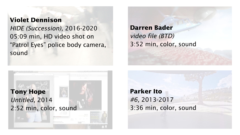## **Violet Dennison**

HIDE (Succession), 2016-2020 05:09 min, HD video shot on "Patrol Eyes" police body camera, sound



**Darren Bader** video file (BTD) 3:52 min, color, sound

**Parker Ito** #6, 2013-2017 3:36 min, color, sound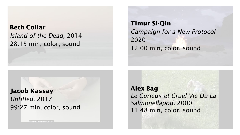**Beth Collar** Island of the Dead, 2014 28:15 min, color, sound

**Timur Si-Qin** Campaign for a New Protocol 2020 12:00 min, color, sound

**Jacob Kassay** Untitled, 2017 99:27 min, color, sound **Alex Bag** Le Curieux et Cruel Vie Du La Salmonellapod, 2000 11:48 min, color, sound

**LOADED WITH SEXUALITY**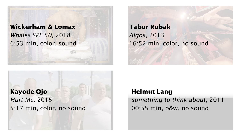**Wickerham & Lomax** Whales SPF 50, 2018 6:53 min, color, sound

**Tabor Robak** Algos, 2013 16:52 min, color, no sound



## **Helmut Lang**

something to think about, 2011 00:55 min, b&w, no sound